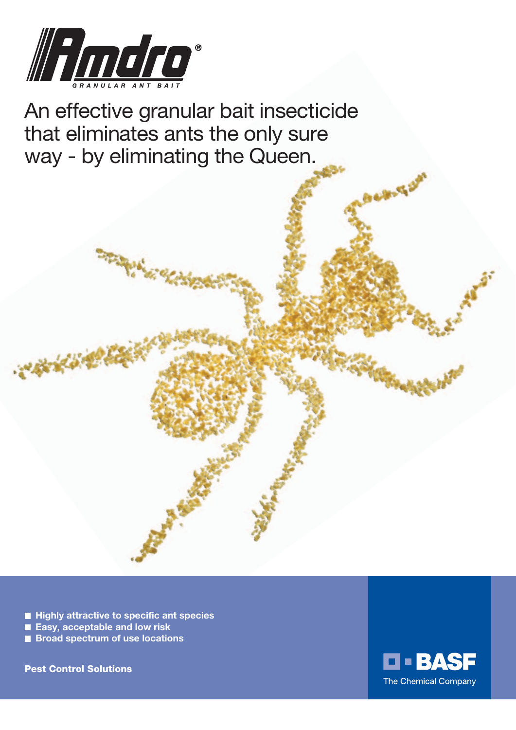

An effective granular bait insecticide that eliminates ants the only sure way - by eliminating the Queen.

- Highly attractive to specific ant species
- **Easy, acceptable and low risk**
- Broad spectrum of use locations

Pest Control Solutions

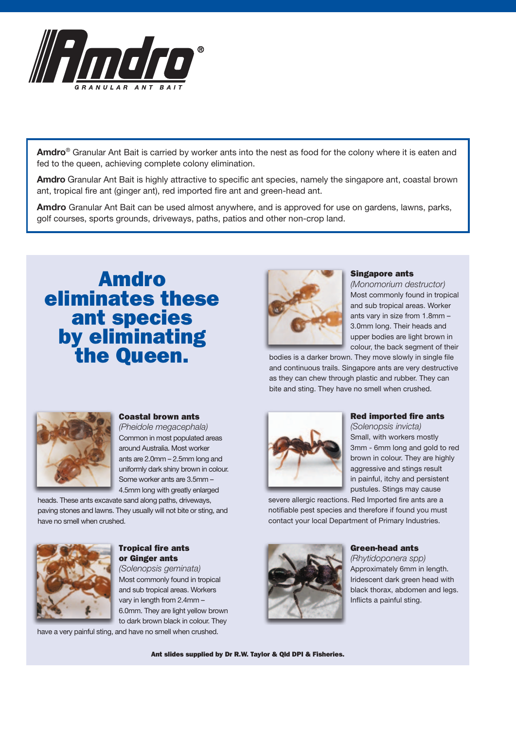

**Amdro**® Granular Ant Bait is carried by worker ants into the nest as food for the colony where it is eaten and fed to the queen, achieving complete colony elimination.

**Amdro** Granular Ant Bait is highly attractive to specific ant species, namely the singapore ant, coastal brown ant, tropical fire ant (ginger ant), red imported fire ant and green-head ant.

**Amdro** Granular Ant Bait can be used almost anywhere, and is approved for use on gardens, lawns, parks, golf courses, sports grounds, driveways, paths, patios and other non-crop land.

# Amdro eliminates these ant species by eliminating the Queen.



#### Singapore ants

*(Monomorium destructor)* Most commonly found in tropical and sub tropical areas. Worker ants vary in size from 1.8mm – 3.0mm long. Their heads and upper bodies are light brown in colour, the back segment of their

bodies is a darker brown. They move slowly in single file and continuous trails. Singapore ants are very destructive as they can chew through plastic and rubber. They can bite and sting. They have no smell when crushed.



#### Coastal brown ants

*(Pheidole megacephala)* Common in most populated areas around Australia. Most worker ants are 2.0mm – 2.5mm long and uniformly dark shiny brown in colour. Some worker ants are 3.5mm – 4.5mm long with greatly enlarged

heads. These ants excavate sand along paths, driveways, paving stones and lawns. They usually will not bite or sting, and have no smell when crushed.



Tropical fire ants or Ginger ants

*(Solenopsis geminata)* Most commonly found in tropical and sub tropical areas. Workers vary in length from 2.4mm – 6.0mm. They are light yellow brown to dark brown black in colour. They have a very painful sting, and have no smell when crushed.



#### Red imported fire ants

*(Solenopsis invicta)* Small, with workers mostly 3mm - 6mm long and gold to red brown in colour. They are highly aggressive and stings result in painful, itchy and persistent pustules. Stings may cause

severe allergic reactions. Red Imported fire ants are a notifiable pest species and therefore if found you must contact your local Department of Primary Industries.

#### Green-head ants

*(Rhytidoponera spp)* Approximately 6mm in length. Iridescent dark green head with black thorax, abdomen and legs. Inflicts a painful sting.

Ant slides supplied by Dr R.W. Taylor & Qld DPI & Fisheries.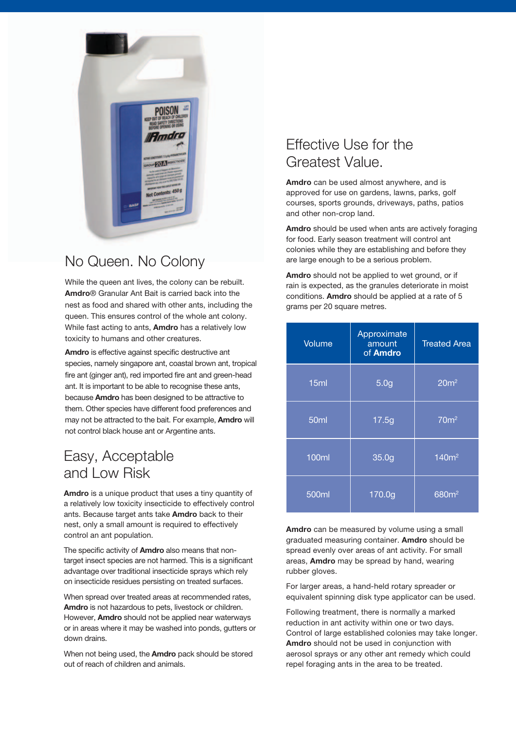

# No Queen. No Colony

While the queen ant lives, the colony can be rebuilt. **Amdro**® Granular Ant Bait is carried back into the nest as food and shared with other ants, including the queen. This ensures control of the whole ant colony. While fast acting to ants, **Amdro** has a relatively low toxicity to humans and other creatures.

**Amdro** is effective against specific destructive ant species, namely singapore ant, coastal brown ant, tropical fire ant (ginger ant), red imported fire ant and green-head ant. It is important to be able to recognise these ants, because **Amdro** has been designed to be attractive to them. Other species have different food preferences and may not be attracted to the bait. For example, **Amdro** will not control black house ant or Argentine ants.

## Easy, Acceptable and Low Risk

**Amdro** is a unique product that uses a tiny quantity of a relatively low toxicity insecticide to effectively control ants. Because target ants take **Amdro** back to their nest, only a small amount is required to effectively control an ant population.

The specific activity of **Amdro** also means that nontarget insect species are not harmed. This is a significant advantage over traditional insecticide sprays which rely on insecticide residues persisting on treated surfaces.

When spread over treated areas at recommended rates, **Amdro** is not hazardous to pets, livestock or children. However, **Amdro** should not be applied near waterways or in areas where it may be washed into ponds, gutters or down drains.

When not being used, the **Amdro** pack should be stored out of reach of children and animals.

## Effective Use for the Greatest Value.

**Amdro** can be used almost anywhere, and is approved for use on gardens, lawns, parks, golf courses, sports grounds, driveways, paths, patios and other non-crop land.

**Amdro** should be used when ants are actively foraging for food. Early season treatment will control ant colonies while they are establishing and before they are large enough to be a serious problem.

**Amdro** should not be applied to wet ground, or if rain is expected, as the granules deteriorate in moist conditions. **Amdro** should be applied at a rate of 5 grams per 20 square metres.

| Volume           | Approximate<br>amount<br>of <b>Amdro</b> | <b>Treated Area</b> |
|------------------|------------------------------------------|---------------------|
| 15ml             | 5.0 <sub>g</sub>                         | 20m <sup>2</sup>    |
| 50 <sub>ml</sub> | 17.5g                                    | $\overline{70m^2}$  |
| <b>100ml</b>     | 35.0g                                    | 140m <sup>2</sup>   |
| 500ml            | 170.0g                                   | 680m <sup>2</sup>   |

**Amdro** can be measured by volume using a small graduated measuring container. **Amdro** should be spread evenly over areas of ant activity. For small areas, **Amdro** may be spread by hand, wearing rubber gloves.

For larger areas, a hand-held rotary spreader or equivalent spinning disk type applicator can be used.

Following treatment, there is normally a marked reduction in ant activity within one or two days. Control of large established colonies may take longer. **Amdro** should not be used in conjunction with aerosol sprays or any other ant remedy which could repel foraging ants in the area to be treated.